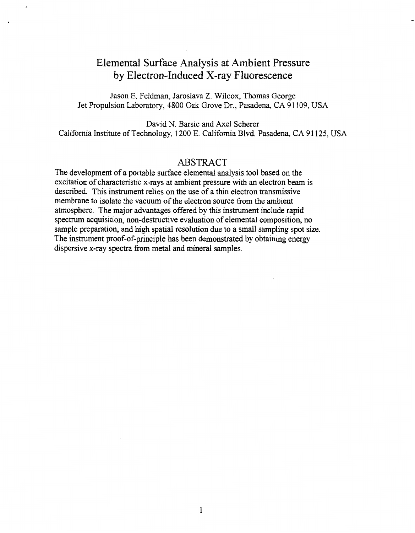## <span id="page-0-0"></span>Elemental Surface Analysis at Ambient Pressure by Electron-Induced X-ray Fluorescence

Jason E. Feldman, Jarosiava Z. Wilcox, Thomas George Jet Propulsion Laboratory, 4800 Oak Grove Dr., Pasadena, CA 91 109, **USA** 

David N. Barsic and Axel Scherer California Institute of Technology, 1200 E. California Blvd. Pasadena, CA 91 125, **USA** 

## ABSTRACT

The development of a portable surface elemental analysis tool based on the excitation of characteristic x-rays at ambient pressure kith an electron beam is described. This instrument relies on the use of a thin electron transmissive membrane to isolate the vacuum of the electron source from the ambient atmosphere. The major advantages offered by this instrument include rapid spectrum acquisition, non-destructive evaluation of elemental composition, no sample preparation, and high spatial resolution due to a small sampling spot size. The instrument proof-of-principle has been demonstrated by obtaining energy dispersive x-ray spectra from metal and mineral samples.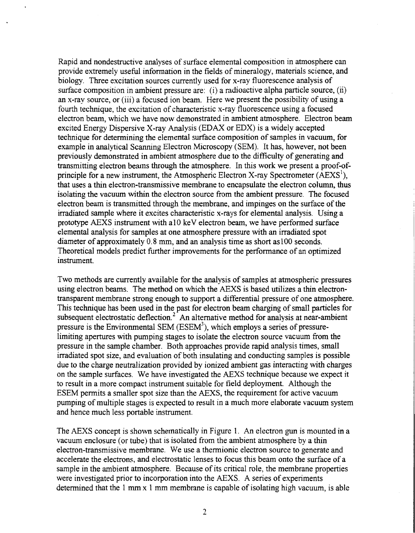Rapid and nondestructive analyses of surface elemental composition in atmosphere can provide extremely useful information in the fields of mineralogy, materials science, and biology. Three excitation sources currently used for x-ray fluorescence analysis of surface composition in ambient pressure are: (i) a radioactive alpha particle source, (ii) an x-ray source, or (iii) a focused ion beam. Here we present the possibility of using a fourth techmque, the excitation of characteristic x-ray fluorescence using a focused electron beam, which we have now demonstrated in ambient atmosphere. Electron beam excited Energy Dispersive X-ray Analysis (EDAX or EDX) is a widely accepted technique for determining the elemental surface composition of samples in vacuum, for example in analytical Scanning Electron Microscopy (SEM). It has, however, not been previously demonstrated in ambient atmosphere due to the difficulty of generating and transmitting electron beams through the atmosphere. In this work we present a proof-ofprinciple for a new instrument, the Atmospheric Electron X-ray Spectrometer (AEXS'), that uses a thin electron-transmissive membrane to encapsulate the electron column, thus isolating the vacuum withln the electron source from the ambient pressure. The focused electron beam is transmitted through the membrane, and impinges on the surface of the irradiated sample where it excites characteristic x-rays for elemental analysis. Using a prototype AEXS instrument with a10 keV electron beam, we have performed surface elemental analysis for samples at one atmosphere pressure with an irradiated spot diameter of approximately 0.8 mm, and an analysis time as short as100 seconds. Theoretical models predict further improvements for the performance of an optimized instrument.

Two methods are currently available for the analysis of samples at atmospheric pressures using electron beams. The method on which the AEXS is based utilizes a thin electrontransparent membrane strong enough to support a differential pressure of one atmosphere. This technique has been used in the past for electron beam charging of small particles for subsequent electrostatic deflection.<sup>2</sup> An alternative method for analysis at near-ambient pressure is the Environmental SEM ( $ESEM<sup>3</sup>$ ), which employs a series of pressurelimiting apertures with pumping stages to isolate the electron source vacuum from the pressure in the sample chamber. Both approaches provide rapid analysis times, small irradiated spot size, and evaluation of both insulating and conducting samples is possible due to the charge neutralization provided by ionized ambient gas interacting with charges on the sample surfaces. We have investigated the AEXS techmque because we expect it to result in a more compact instrument suitable for field deployment. Although the ESEM permits a smaller spot size than the AEXS, the requirement for active vacuum pumping of multiple stages is expected to result in a much more elaborate vacuum system and hence much less portable instrument.

The AEXS concept is shown schematically in [Figure 1.](#page-7-0) An electron *gun* is mounted in a vacuum enclosure (or tube) that is isolated from the ambient atmosphere by a thin electron-transmissive membrane. We use a thermionic electron source to generate and accelerate the electrons, and electrostatic lenses to focus this beam onto the surface of a sample in the ambient atmosphere. Because of its critical role, the membrane properties were investigated prior to incorporation into the AEXS. A series of experiments determined that the 1 mm x 1 mm membrane is capable of isolating high vacuum, is able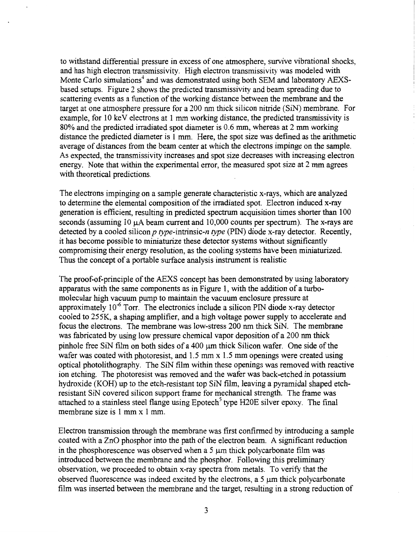to withstand differential pressure in excess of one atmosphere, survive vibrational shocks, and has high electron transmissivity. High electron transmissivity was modeled with Monte Carlo simulations<sup>4</sup> and was demonstrated using both SEM and laboratory AEXSbased setups. Figure 2 shows the predicted transmissivity and beam spreading due to scattering events as a function of the working distance between the membrane and the target at one atmosphere pressure for a 200 nm thick silicon nitride (SIN) membrane. For example, for 10 keV electrons at 1 mm working distance, the predicted transmissivity is 80% and the predicted irradiated spot diameter is 0.6 mm, whereas at 2 mm working distance the predicted diameter is 1 mm. Here, the spot size was defined as the arithmetic average of distances from the beam center at which the electrons impinge on the sample. **As** expected, the transmissivity increases and spot size decreases with increasing electron energy. Note that within the experimental error, the measured spot size at 2 mm agrees with theoretical predictions.

The electrons impinging on a sample generate characteristic x-rays, whch are analyzed to determine the elemental composition of the irradiated spot. Electron induced x-ray generation is efficient, resulting in predicted spectrum acquisition times shorter than 100 seconds (assuming 10  $\mu$ A beam current and 10,000 counts per spectrum). The x-rays are detected by a cooled silicon  $p$  type-intrinsic-n type (PIN) diode x-ray detector. Recently, it has become possible to miniaturize these detector systems without significantly compromising their energy resolution, as the cooling systems have been miniaturized. Thus the concept of a portable surface analysis instrument is realistic

The proof-of-principle of the AEXS concept has been demonstrated by using laboratory apparatus with the same components as in Figure 1, with the addition of a turbomolecular high vacuum pump to maintain the vacuum enclosure pressure at approximately  $10^{-6}$  Torr. The electronics include a silicon PIN diode x-ray detector cooled to 255K, a shaping amplifier, and a high voltage power supply to accelerate and focus the electrons. The membrane was low-stress 200 nm thick SIN. The membrane was fabricated by using low pressure chemical vapor deposition of a 200 nm thick pinhole free SiN film on both sides of a 400  $\mu$ m thick Silicon wafer. One side of the wafer was coated with photoresist, and 1.5 mm x **1.5** mm openings were created using optical photolithography. The SIN film within these openings was removed with reactive ion etching. The photoresist was removed and the wafer was back-etched in potassium hydroxide (KOH) up to the etch-resistant top SIN film, leaving a pyramidal shaped etchresistant SiN covered silicon support frame for mechanical strength. The frame was attached to a stainless steel flange using Epotech<sup>5</sup> type H20E silver epoxy. The final membrane size is 1 mm x 1 mm.

Electron transmission through the membrane was first confirmed by introducing a sample coated with a ZnO phosphor into the path of the electron beam. **A** significant reduction in the phosphorescence was observed when a 5  $\mu$ m thick polycarbonate film was introduced between the membrane and the phosphor. Following this preliminary observation, we proceeded to obtain x-ray spectra from metals. To verify that the observed fluorescence was indeed excited by the electrons, a 5  $\mu$ m thick polycarbonate film was inserted between the membrane and the target, resulting in a strong reduction of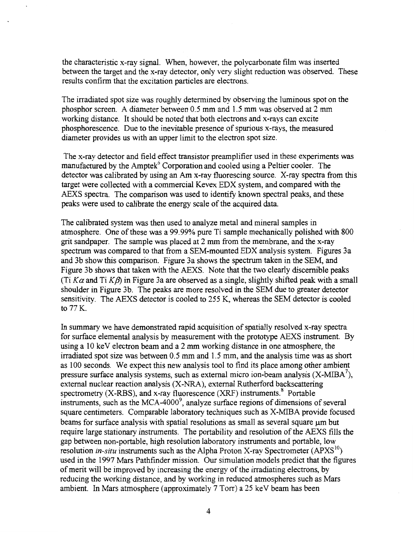the characteristic x-ray signal. When, however, the polycarbonate film was inserted between the target and the x-ray detector, only very slight reduction was observed. These results confirm that the excitation particles are electrons.

The irradiated spot size was roughly determined by observing the luminous spot on the phosphor screen. **A** diameter between 0.5 mm and 1.5 mm was observed at 2 mm working distance. It should be noted that both electrons and x-rays can excite phosphorescence. Due to the inevitable presence of spurious x-rays, the measured diameter provides us with an upper limit to the electron spot size.

The x-ray detector and field effect transistor preamplifier used in these experiments was manufactured by the Amptek<sup>6</sup> Corporation and cooled using a Peltier cooler. The detector was calibrated by using an Am x-ray fluorescing source. X-ray spectra from this target were collected with a commercial Kevex EDX system, and compared with the AEXS spectra. The comparison was used to identify known spectral peaks, and these peaks were used to calibrate the energy scale of the acquired data.

The calibrated system was then used to analyze metal and mineral samples in atmosphere. One of these was a 99.99% pure Ti sample mechanically polished with 800 grit sandpaper. The sample was placed at 2 mm from the membrane, and the x-ray spectrum was compared to that fiom a SEM-mounted EDX analysis system. Figures 3a and 3b show this comparison. Figure 3a shows the spectrum taken in the SEM, and Figure 3b shows that taken with the AEXS. Note that the two clearly discernible peaks (Ti  $K\alpha$  and Ti  $K\beta$ ) in Figure 3a are observed as a single, slightly shifted peak with a small shoulder in Figure 3b. The peaks are more resolved in the SEM due to greater detector sensitivity. The AEXS detector is cooled to 255 K, whereas the SEM detector is cooled to 77 K.

In summary we have demonstrated rapid acquisition of spatially resolved x-ray spectra for surface elemental analysis by measurement with the prototype AEXS instrument. By using a 10 keV electron beam and a 2 mm working distance in one atmosphere, the irradiated spot size was between 0.5 mm and **1.5** mm, and the analysis time was as short as 100 seconds. We expect this new analysis tool to find its place among other ambient pressure surface analysis systems, such as external micro ion-beam analysis  $(X-MIBA^7)$ , external nuclear reaction analysis (X-NRA), external Rutherford backscattering spectrometry  $(X-RBS)$ , and x-ray fluorescence  $(XRF)$  instruments.<sup>8</sup> Portable instruments, such as the MCA- $4000^9$ , analyze surface regions of dimensions of several square centimeters. Comparable laboratory techniques such as X-MIBA provide focused beams for surface analysis with spatial resolutions as small as several square  $\mu$ m but require large stationary instruments. The portability and resolution of the AEXS fills the gap between non-portable, high resolution laboratory instruments and portable, low resolution *in-situ* instruments such as the Alpha Proton X-ray Spectrometer (APXS<sup>10</sup>) used in the 1997 Mars Pathfinder mission. Our simulation models predict that the figures of merit will be improved by increasing the energy of the irradiating electrons, by reducing the working distance, and by working in reduced atmospheres such as Mars ambient. In Mars atmosphere (approximately  $7$  Torr) a  $25$  keV beam has been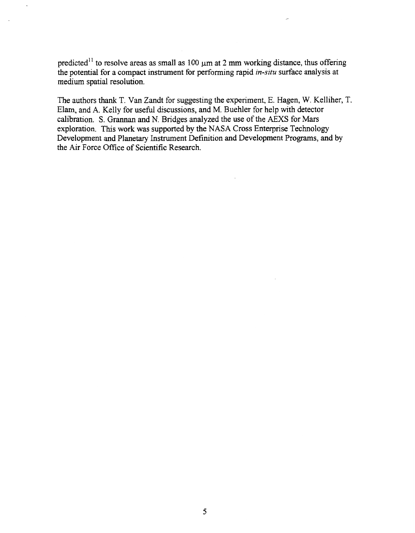predicted<sup>11</sup> to resolve areas as small as 100  $\mu$ m at 2 mm working distance, thus offering the potential for a compact instrument for performing rapid *in-situ* surface analysis at medium spatial resolution.

The authors thank T. Van Zandt for suggesting the experiment, E. Hagen, W. Kelliher, T. Elam, and A. Kelly for useful discussions, and M. Buehler for help with detector calibration. S. Grannan and N. Bridges analyzed the use of the AEXS for Mars exploration. This work was supported by the NASA Cross Enterprise Technology Development and Planetary Instrument Definition and Development Programs, and by the Air Force Office of Scientific Research.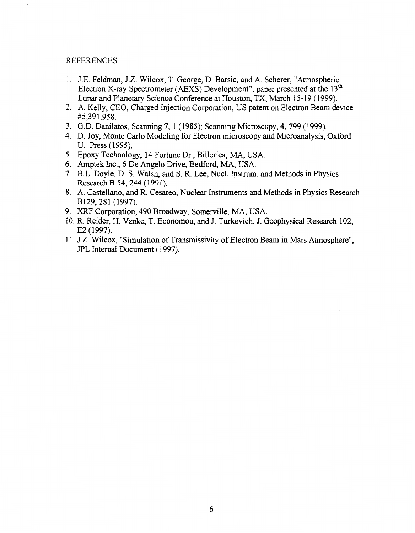## REFERENCES

- 1. J.E. Feldman, J.Z. Wilcox, T. George, D. Barsic, and A. Scherer, "Atmospheric Electron X-ray Spectrometer (AEXS) Development", paper presented at the 13" Lunar and Planetary Science Conference at Houston, TX, March 15-19 (1999).
- **2. A.** Kelly, CEO, Charged Injection Corporation, US patent on Electron Beam device #5,39 1,958.
- 3. G.D. Danilatos, Scanning 7, 1 (1985); Scanning Microscopy, 4,799 (1999).
- 4. D. Joy, Monte Carlo Modeling for Electron microscopy and Wcroanalysis, Oxford U. Press (1995).
- **5.**  Epoxy Technology, 14 Fortune Dr., Billerica, MA, USA.
- *6.*  Amptek Inc., **6** De Angel0 Drive, Bedford, MA, USA.
- 7. [B.L. Doyle, D. S. Walsh, and S. R. Lee, Nucl. Instrum. and Methods in Physics](#page-0-0) Research B 54, 244 (1991).
- 8. A. Castellano, and R. Cesareo, Nuclear Instruments and Methods in Physics Research B129,281 (1997).
- 9. XRF Corporation, 490 Broadway, Somerville, MA, USA.
- 10. R. Reider, H. Vanke, T. Economou, and J. Turkevich, J. Geophysical Research 102, E2 (1997).
- 11. J.Z. Wilcox, "Simulation of Transmissivity of Electron Beam in Mars Atmosphere", JPL Internal Document (1997).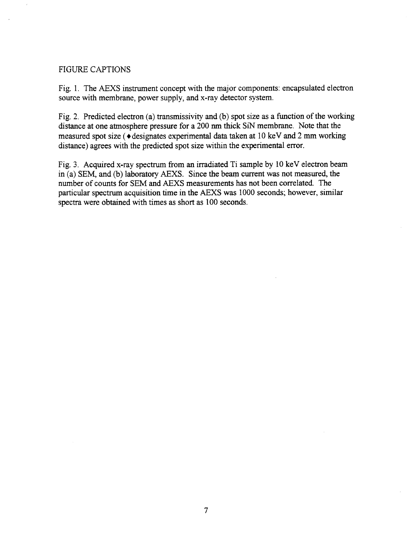## FIGURE CAPTIONS

[Fig. 1.](#page-7-0) The AEXS instrument concept with the major components: encapsulated electron source with membrane, power supply, and x-ray detector system.

Fig. **2.** Predicted electron (a) transmissivity and (b) spot size as a function of the working distance at one atmosphere pressure for a 200 nm thick SiN membrane. Note that the measured spot size (+designates experimental data taken at 10 keV and **2** mm workmg distance) agrees with the predicted spot size within the experimental error.

[Fig. 3.](#page-8-0) Acquired x-ray spectrum from an irradiated Ti sample by 10 keV electron beam in (a) SEM, and (b) laboratory AEXS. Since the beam current was not measured, the number of counts for SEM and AEXS measurements has not been correlated. The particular spectrum acquisition time in the AEXS was 1000 seconds; however, similar spectra were obtained with times as short as 100 seconds.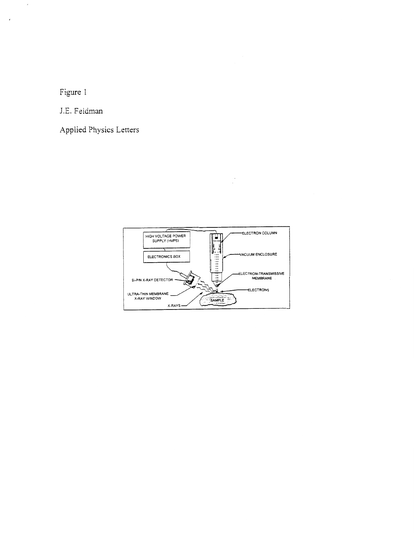Figure 1

 $\bar{\omega}$ 

<span id="page-7-0"></span> $\epsilon$ 

J.E. Feldman

Applied Physics Letters

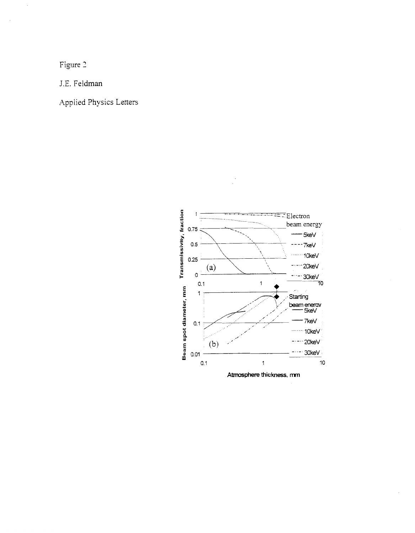Figure 3

<span id="page-8-0"></span> $\cdot$ 

J.E. Feldman

Applied Physics Letters

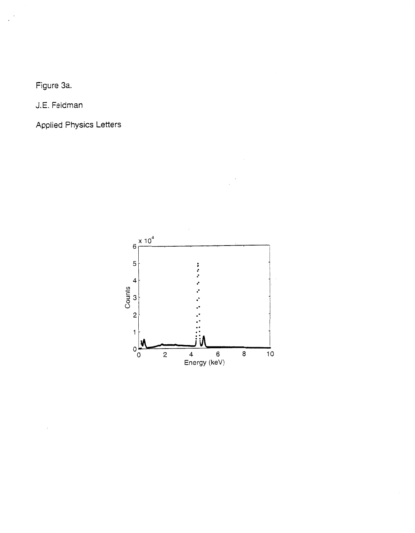Figure 3a.

J.E. Feldman

**Applied Physics Letters**